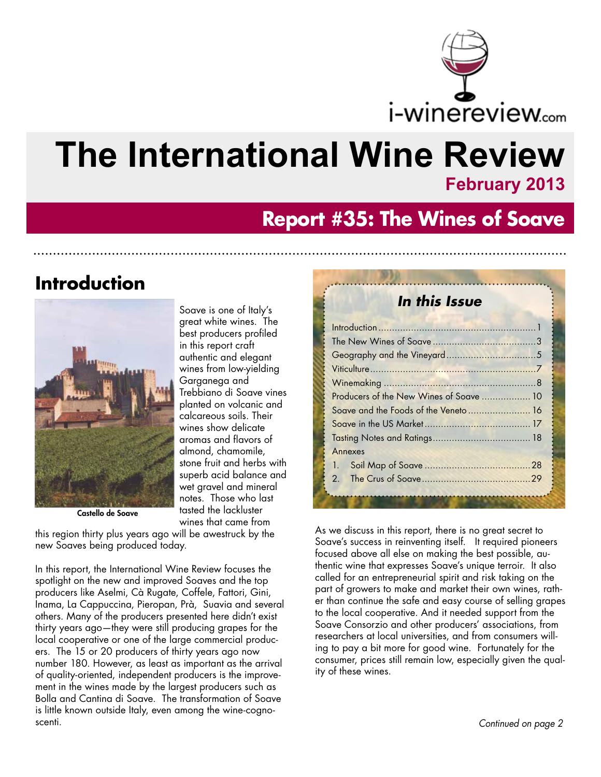

# **The International Wine Review**

### **February 2013**

## **Report #35: The Wines of Soave**

## **Introduction**



Castello de Soave

Soave is one of Italy's great white wines. The best producers profiled in this report craft authentic and elegant wines from low-yielding Garganega and Trebbiano di Soave vines planted on volcanic and calcareous soils. Their wines show delicate aromas and flavors of almond, chamomile, stone fruit and herbs with superb acid balance and wet gravel and mineral notes. Those who last tasted the lackluster wines that came from

this region thirty plus years ago will be awestruck by the new Soaves being produced today.

In this report, the International Wine Review focuses the spotlight on the new and improved Soaves and the top producers like Aselmi, Cà Rugate, Coffele, Fattori, Gini, Inama, La Cappuccina, Pieropan, Prà, Suavia and several others. Many of the producers presented here didn't exist thirty years ago—they were still producing grapes for the local cooperative or one of the large commercial producers. The 15 or 20 producers of thirty years ago now number 180. However, as least as important as the arrival of quality-oriented, independent producers is the improvement in the wines made by the largest producers such as Bolla and Cantina di Soave. The transformation of Soave is little known outside Italy, even among the wine-cognoscenti.

#### **In this Issue**

| Producers of the New Wines of Soave  10 |  |
|-----------------------------------------|--|
| Soave and the Foods of the Veneto 16    |  |
|                                         |  |
|                                         |  |
| Annexes                                 |  |
|                                         |  |
| 2 <sub>1</sub>                          |  |
|                                         |  |

As we discuss in this report, there is no great secret to Soave's success in reinventing itself. It required pioneers focused above all else on making the best possible, authentic wine that expresses Soave's unique terroir. It also called for an entrepreneurial spirit and risk taking on the part of growers to make and market their own wines, rather than continue the safe and easy course of selling grapes to the local cooperative. And it needed support from the Soave Consorzio and other producers' associations, from researchers at local universities, and from consumers willing to pay a bit more for good wine. Fortunately for the consumer, prices still remain low, especially given the quality of these wines.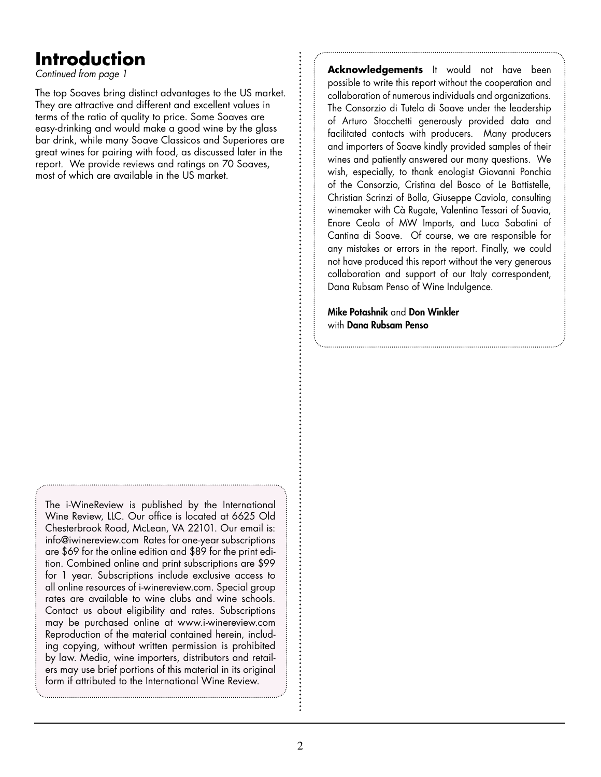## **Introduction**

Continued from page 1

The top Soaves bring distinct advantages to the US market. They are attractive and different and excellent values in terms of the ratio of quality to price. Some Soaves are easy-drinking and would make a good wine by the glass bar drink, while many Soave Classicos and Superiores are great wines for pairing with food, as discussed later in the report. We provide reviews and ratings on 70 Soaves, most of which are available in the US market.

The i-WineReview is published by the International Wine Review, LLC. Our office is located at 6625 Old Chesterbrook Road, McLean, VA 22101. Our email is: info@iwinereview.com Rates for one-year subscriptions are \$69 for the online edition and \$89 for the print edition. Combined online and print subscriptions are \$99 for 1 year. Subscriptions include exclusive access to all online resources of i-winereview.com. Special group rates are available to wine clubs and wine schools. Contact us about eligibility and rates. Subscriptions may be purchased online at www.i-winereview.com Reproduction of the material contained herein, including copying, without written permission is prohibited by law. Media, wine importers, distributors and retailers may use brief portions of this material in its original form if attributed to the International Wine Review.

**Acknowledgements** It would not have been possible to write this report without the cooperation and collaboration of numerous individuals and organizations. The Consorzio di Tutela di Soave under the leadership of Arturo Stocchetti generously provided data and facilitated contacts with producers. Many producers and importers of Soave kindly provided samples of their wines and patiently answered our many questions. We wish, especially, to thank enologist Giovanni Ponchia of the Consorzio, Cristina del Bosco of Le Battistelle, Christian Scrinzi of Bolla, Giuseppe Caviola, consulting winemaker with Cà Rugate, Valentina Tessari of Suavia, Enore Ceola of MW Imports, and Luca Sabatini of Cantina di Soave. Of course, we are responsible for any mistakes or errors in the report. Finally, we could not have produced this report without the very generous collaboration and support of our Italy correspondent, Dana Rubsam Penso of Wine Indulgence.

Mike Potashnik and Don Winkler with Dana Rubsam Penso